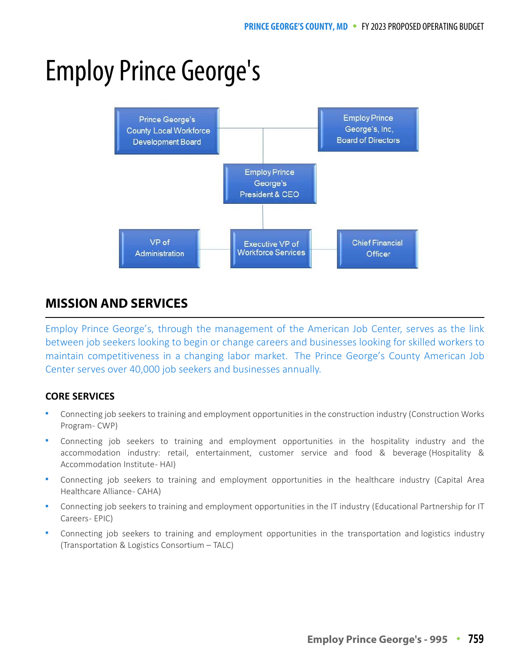# Employ Prince George's



## **MISSION AND SERVICES MISSION AND SERVICES**

Employ Prince George's, through the management of the American Job Center, serves as the link between job seekers looking to begin or change careers and businesses looking for skilled workers to maintain competitiveness in a changing labor market. The Prince George's County American Job Center serves over 40,000 job seekers and businesses annually.

## **CORE SERVICES**

- Connecting job seekers to training and employment opportunities in the construction industry (Construction Works Program - CWP)
- Connecting job seekers to training and employment opportunities in the hospitality industry and the accommodation industry: retail, entertainment, customer service and food & beverage (Hospitality & Accommodation Institute - HAI)
- Connecting job seekers to training and employment opportunities in the healthcare industry (Capital Area Healthcare Alliance - CAHA)
- Connecting job seekers to training and employment opportunities in the IT industry (Educational Partnership for IT Careers - EPIC)
- Connecting job seekers to training and employment opportunities in the transportation and logistics industry (Transportation & Logistics Consortium – TALC)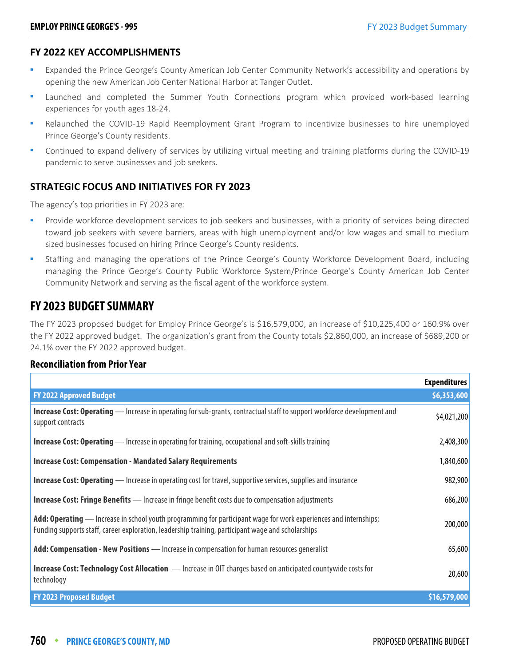#### **FY 2022 KEY ACCOMPLISHMENTS**

- Expanded the Prince George's County American Job Center Community Network's accessibility and operations by opening the new American Job Center National Harbor at Tanger Outlet.
- Launched and completed the Summer Youth Connections program which provided work-based learning experiences for youth ages 18-24.
- Relaunched the COVID-19 Rapid Reemployment Grant Program to incentivize businesses to hire unemployed Prince George's County residents.
- Continued to expand delivery of services by utilizing virtual meeting and training platforms during the COVID-19 pandemic to serve businesses and job seekers.

## **STRATEGIC FOCUS AND INITIATIVES FOR FY 2023**

The agency's top priorities in FY 2023 are:

- Provide workforce development services to job seekers and businesses, with a priority of services being directed toward job seekers with severe barriers, areas with high unemployment and/or low wages and small to medium sized businesses focused on hiring Prince George's County residents.
- Staffing and managing the operations of the Prince George's County Workforce Development Board, including managing the Prince George's County Public Workforce System/Prince George's County American Job Center Community Network and serving as the fiscal agent of the workforce system.

## **FY 2023 BUDGET SUMMARY**

The FY 2023 proposed budget for Employ Prince George's is \$16,579,000, an increase of \$10,225,400 or 160.9% over the FY 2022 approved budget. The organization's grant from the County totals \$2,860,000, an increase of \$689,200 or 24.1% over the FY 2022 approved budget.

#### **Reconciliation from Prior Year**

|                                                                                                                                                                                                                        | <b>Expenditures</b> |
|------------------------------------------------------------------------------------------------------------------------------------------------------------------------------------------------------------------------|---------------------|
| <b>FY 2022 Approved Budget</b>                                                                                                                                                                                         | \$6,353,600         |
| <b>Increase Cost: Operating</b> — Increase in operating for sub-grants, contractual staff to support workforce development and<br>support contracts                                                                    | \$4,021,200         |
| <b>Increase Cost: Operating</b> — Increase in operating for training, occupational and soft-skills training                                                                                                            | 2,408,300           |
| <b>Increase Cost: Compensation - Mandated Salary Requirements</b>                                                                                                                                                      | 1,840,600           |
| <b>Increase Cost: Operating</b> — Increase in operating cost for travel, supportive services, supplies and insurance                                                                                                   | 982,900             |
| <b>Increase Cost: Fringe Benefits</b> - Increase in fringe benefit costs due to compensation adjustments                                                                                                               | 686,200             |
| Add: Operating — Increase in school youth programming for participant wage for work experiences and internships;<br>Funding supports staff, career exploration, leadership training, participant wage and scholarships | 200,000             |
| Add: Compensation - New Positions - Increase in compensation for human resources generalist                                                                                                                            | 65,600              |
| <b>Increase Cost: Technology Cost Allocation</b> - Increase in OIT charges based on anticipated countywide costs for<br>technology                                                                                     | 20,600              |
| <b>FY 2023 Proposed Budget</b>                                                                                                                                                                                         | \$16,579,000        |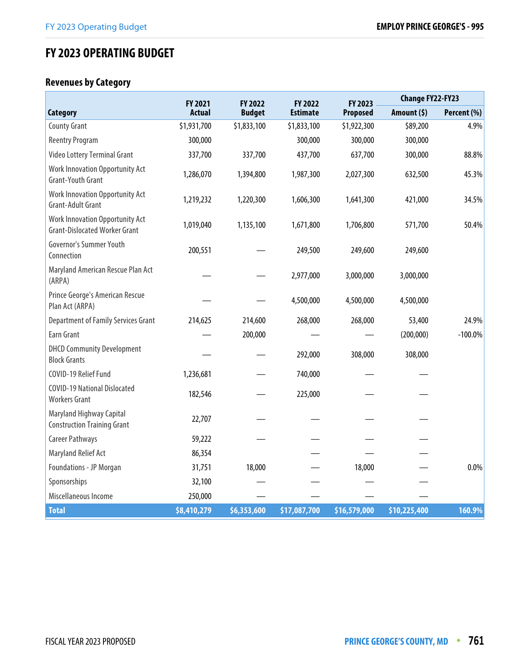# **FY 2023 OPERATING BUDGET**

## **Revenues by Category**

|                                                                         | FY 2022<br>FY 2021<br>FY 2022 |               | FY 2023         | <b>Change FY22-FY23</b> |              |             |
|-------------------------------------------------------------------------|-------------------------------|---------------|-----------------|-------------------------|--------------|-------------|
| <b>Category</b>                                                         | <b>Actual</b>                 | <b>Budget</b> | <b>Estimate</b> | Proposed                | Amount (\$)  | Percent (%) |
| <b>County Grant</b>                                                     | \$1,931,700                   | \$1,833,100   | \$1,833,100     | \$1,922,300             | \$89,200     | 4.9%        |
| <b>Reentry Program</b>                                                  | 300,000                       |               | 300,000         | 300,000                 | 300,000      |             |
| Video Lottery Terminal Grant                                            | 337,700                       | 337,700       | 437,700         | 637,700                 | 300,000      | 88.8%       |
| Work Innovation Opportunity Act<br><b>Grant-Youth Grant</b>             | 1,286,070                     | 1,394,800     | 1,987,300       | 2,027,300               | 632,500      | 45.3%       |
| Work Innovation Opportunity Act<br>Grant-Adult Grant                    | 1,219,232                     | 1,220,300     | 1,606,300       | 1,641,300               | 421,000      | 34.5%       |
| Work Innovation Opportunity Act<br><b>Grant-Dislocated Worker Grant</b> | 1,019,040                     | 1,135,100     | 1,671,800       | 1,706,800               | 571,700      | 50.4%       |
| Governor's Summer Youth<br>Connection                                   | 200,551                       |               | 249,500         | 249,600                 | 249,600      |             |
| Maryland American Rescue Plan Act<br>(ARPA)                             |                               |               | 2,977,000       | 3,000,000               | 3,000,000    |             |
| Prince George's American Rescue<br>Plan Act (ARPA)                      |                               |               | 4,500,000       | 4,500,000               | 4,500,000    |             |
| <b>Department of Family Services Grant</b>                              | 214,625                       | 214,600       | 268,000         | 268,000                 | 53,400       | 24.9%       |
| Earn Grant                                                              |                               | 200,000       |                 |                         | (200,000)    | $-100.0\%$  |
| <b>DHCD Community Development</b><br><b>Block Grants</b>                |                               |               | 292,000         | 308,000                 | 308,000      |             |
| COVID-19 Relief Fund                                                    | 1,236,681                     |               | 740,000         |                         |              |             |
| <b>COVID-19 National Dislocated</b><br><b>Workers Grant</b>             | 182,546                       |               | 225,000         |                         |              |             |
| Maryland Highway Capital<br><b>Construction Training Grant</b>          | 22,707                        |               |                 |                         |              |             |
| Career Pathways                                                         | 59,222                        |               |                 |                         |              |             |
| Maryland Relief Act                                                     | 86,354                        |               |                 |                         |              |             |
| Foundations - JP Morgan                                                 | 31,751                        | 18,000        |                 | 18,000                  |              | 0.0%        |
| Sponsorships                                                            | 32,100                        |               |                 |                         |              |             |
| Miscellaneous Income                                                    | 250,000                       |               |                 |                         |              |             |
| <b>Total</b>                                                            | \$8,410,279                   | \$6,353,600   | \$17,087,700    | \$16,579,000            | \$10,225,400 | 160.9%      |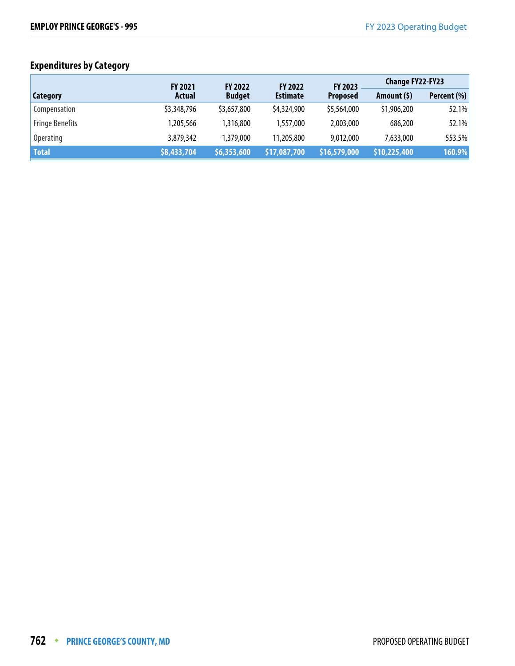## **Expenditures by Category**

|                        | <b>FY 2021</b> | <b>FY 2022</b> | <b>FY 2022</b>  | FY 2023                    | <b>Change FY22-FY23</b> |             |
|------------------------|----------------|----------------|-----------------|----------------------------|-------------------------|-------------|
| Category               | Actual         | <b>Budget</b>  | <b>Estimate</b> | <b>Proposed</b>            | Amount $(5)$            | Percent (%) |
| Compensation           | \$3,348,796    | \$3,657,800    | \$4,324,900     | \$5,564,000                | \$1,906,200             | 52.1%       |
| <b>Fringe Benefits</b> | 1,205,566      | 1,316,800      | 1,557,000       | 2.003.000                  | 686,200                 | 52.1%       |
| <b>Operating</b>       | 3,879,342      | 1,379,000      | 11,205,800      | 9,012,000                  | 7,633,000               | 553.5%      |
| <b>Total</b>           | \$8,433,704    | \$6,353,600    | \$17,087,700    | $\frac{1}{2}$ \$16,579,000 | \$10,225,400            | 160.9%      |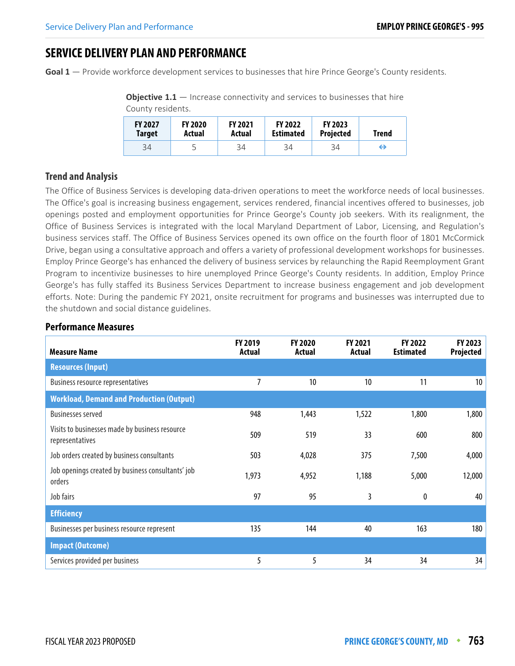## **SERVICE DELIVERY PLAN AND PERFORMANCE**

**Goal 1** — Provide workforce development services to businesses that hire Prince George's County residents.

**Objective 1.1** — Increase connectivity and services to businesses that hire County residents.

| <b>FY 2027</b><br>Target | <b>FY 2020</b><br>Actual | <b>FY 2021</b><br>Actual | <b>FY 2022</b><br><b>Estimated</b> | <b>FY 2023</b><br><b>Projected</b> | Trend |
|--------------------------|--------------------------|--------------------------|------------------------------------|------------------------------------|-------|
| 34                       |                          | 34                       | 34                                 | 34                                 | ↔     |

## **Trend and Analysis**

The Office of Business Services is developing data-driven operations to meet the workforce needs of local businesses. The Office's goal is increasing business engagement, services rendered, financial incentives offered to businesses, job openings posted and employment opportunities for Prince George's County job seekers. With its realignment, the Office of Business Services is integrated with the local Maryland Department of Labor, Licensing, and Regulation's business services staff. The Office of Business Services opened its own office on the fourth floor of 1801 McCormick Drive, began using a consultative approach and offers a variety of professional development workshops for businesses. Employ Prince George's has enhanced the delivery of business services by relaunching the Rapid Reemployment Grant Program to incentivize businesses to hire unemployed Prince George's County residents. In addition, Employ Prince George's has fully staffed its Business Services Department to increase business engagement and job development efforts. Note: During the pandemic FY 2021, onsite recruitment for programs and businesses was interrupted due to the shutdown and social distance guidelines.

| <b>Measure Name</b>                                               | FY 2019<br>Actual | FY 2020<br>Actual | FY 2021<br>Actual | FY 2022<br><b>Estimated</b> | FY 2023<br>Projected |
|-------------------------------------------------------------------|-------------------|-------------------|-------------------|-----------------------------|----------------------|
| <b>Resources (Input)</b>                                          |                   |                   |                   |                             |                      |
| <b>Business resource representatives</b>                          | 7                 | 10                | 10                | 11                          | 10                   |
| <b>Workload, Demand and Production (Output)</b>                   |                   |                   |                   |                             |                      |
| <b>Businesses served</b>                                          | 948               | 1,443             | 1,522             | 1,800                       | 1,800                |
| Visits to businesses made by business resource<br>representatives | 509               | 519               | 33                | 600                         | 800                  |
| Job orders created by business consultants                        | 503               | 4,028             | 375               | 7,500                       | 4,000                |
| Job openings created by business consultants' job<br>orders       | 1,973             | 4,952             | 1,188             | 5,000                       | 12,000               |
| Job fairs                                                         | 97                | 95                | 3                 | 0                           | 40                   |
| <b>Efficiency</b>                                                 |                   |                   |                   |                             |                      |
| Businesses per business resource represent                        | 135               | 144               | 40                | 163                         | 180                  |
| <b>Impact (Outcome)</b>                                           |                   |                   |                   |                             |                      |
| Services provided per business                                    | 5                 | 5                 | 34                | 34                          | 34                   |

#### **Performance Measures**